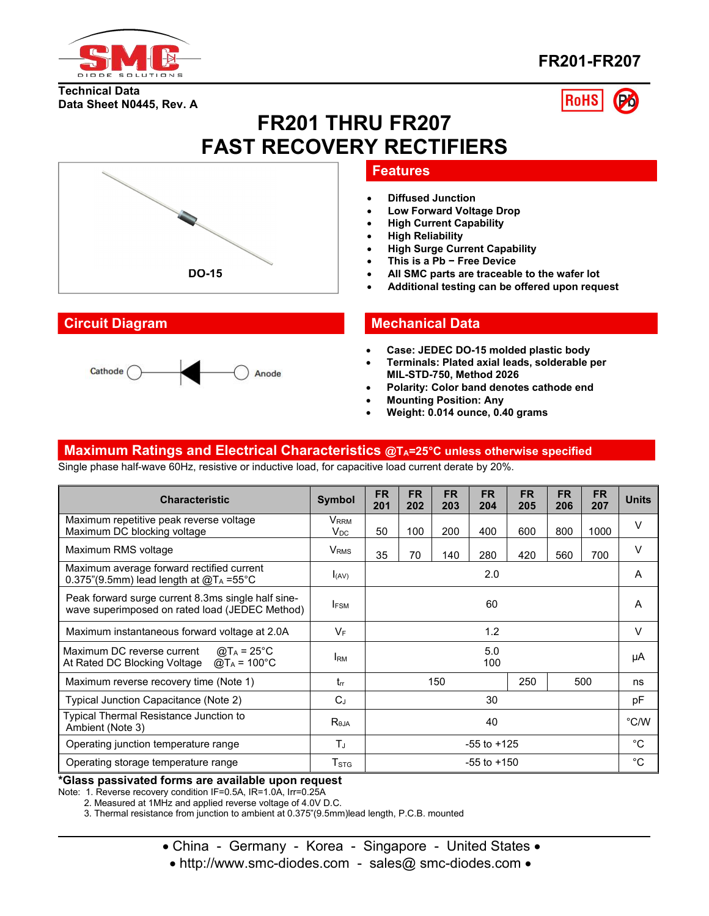

**Data Sheet N0445, Rev. A**

**Technical Data**

# **FR201-FR207**

**RoHS** 

# **FR201 THRU FR207 FAST RECOVERY RECTIFIERS**



- **Diffused Junction**
- **Low Forward Voltage Drop**
- **High Current Capability**
- **High Reliability**
- **High Surge Current Capability**
- **This is a Pb − Free Device**
- **All SMC parts are traceable to the wafer lot**
- **Additional testing can be offered upon request**

## **Circuit Diagram Mechanical Data**

- **Case: JEDEC DO-15molded plastic body**
- **Terminals: Plated axial leads, solderable per MIL-STD-750, Method 2026**
- **Polarity: Color band denotes cathode end**
- **Mounting Position: Any**
- **Weight: 0.014 ounce, 0.40 grams**

### **Maximum Ratings and Electrical Characteristics @TA=25°C unless otherwise specified**

Single phase half-wave 60Hz, resistive or inductive load, for capacitive load current derate by 20%.

| <b>Characteristic</b>                                                                                                              | <b>Symbol</b>                                       | <b>FR</b><br>201 | <b>FR</b><br>202 | <b>FR</b><br>203 | <b>FR</b><br>204 | <b>FR</b><br>205 | <b>FR</b><br>206 | <b>FR</b><br>207 | <b>Units</b> |
|------------------------------------------------------------------------------------------------------------------------------------|-----------------------------------------------------|------------------|------------------|------------------|------------------|------------------|------------------|------------------|--------------|
| Maximum repetitive peak reverse voltage<br>Maximum DC blocking voltage                                                             | <b>V</b> <sub>RRM</sub><br>$\mathsf{V}_\mathsf{DC}$ | 50               | 100              | 200              | 400              | 600              | 800              | 1000             | V            |
| Maximum RMS voltage                                                                                                                | V <sub>RMS</sub>                                    | 35               | 70               | 140              | 280              | 420              | 560              | 700              | V            |
| Maximum average forward rectified current<br>0.375"(9.5mm) lead length at $@T_A = 55°C$                                            | I(AV)                                               | 2.0              |                  |                  | A                |                  |                  |                  |              |
| Peak forward surge current 8.3ms single half sine-<br>wave superimposed on rated load (JEDEC Method)                               | <b>IFSM</b>                                         | 60               |                  |                  | A                |                  |                  |                  |              |
| Maximum instantaneous forward voltage at 2.0A                                                                                      | $V_F$                                               | 1.2              |                  | V                |                  |                  |                  |                  |              |
| Maximum DC reverse current<br>@T $_A$ = 25°C<br>At Rated DC Blocking Voltage $\textcircled{a}$ T <sub>A</sub> = 100 <sup>°</sup> C | <b>I</b> <sub>RM</sub>                              | 5.0<br>100       |                  | μA               |                  |                  |                  |                  |              |
| Maximum reverse recovery time (Note 1)                                                                                             | $t_{rr}$                                            | 150              |                  | 250              |                  | 500              | ns               |                  |              |
| Typical Junction Capacitance (Note 2)                                                                                              | $C_J$                                               | 30               |                  |                  | pF               |                  |                  |                  |              |
| Typical Thermal Resistance Junction to<br>Ambient (Note 3)                                                                         | $R_{\theta$ JA                                      | 40               |                  | °C/W             |                  |                  |                  |                  |              |
| Operating junction temperature range                                                                                               | $T_{J}$                                             | $-55$ to $+125$  |                  |                  | °C               |                  |                  |                  |              |
| Operating storage temperature range                                                                                                | $\mathsf{T}_{\texttt{STG}}$                         | $-55$ to $+150$  |                  |                  | $^{\circ}$ C     |                  |                  |                  |              |

#### **\*Glass passivated forms are available upon request**

Note: 1. Reverse recovery condition IF=0.5A, IR=1.0A, Irr=0.25A

2. Measured at 1MHz and applied reverse voltage of 4.0V D.C.

3. Thermal resistance from junction to ambient at 0.375"(9.5mm)lead length, P.C.B. mounted

• China - Germany - Korea - Singapore - United States •

• http://www.smc-diodes.com - sales@ smc-diodes.com •



**DO-15**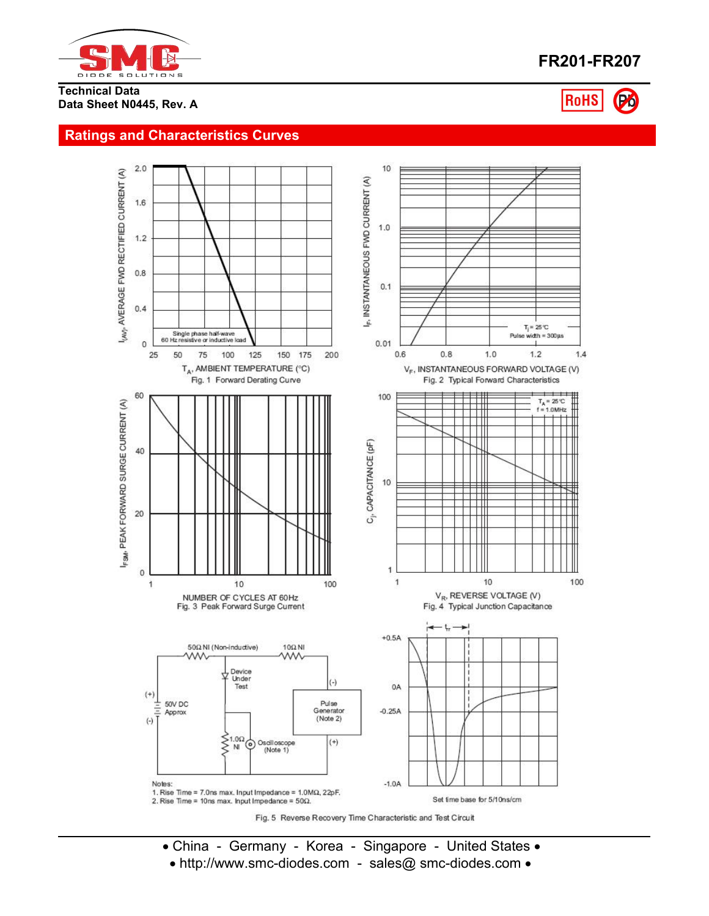

# **FR201-FR207**

**RoHS** 

**Technical Data Data Sheet N0445, Rev. A**

### **Ratings and Characteristics Curves**



- China Germany Korea Singapore United States •
- http://www.smc-diodes.com sales@ smc-diodes.com •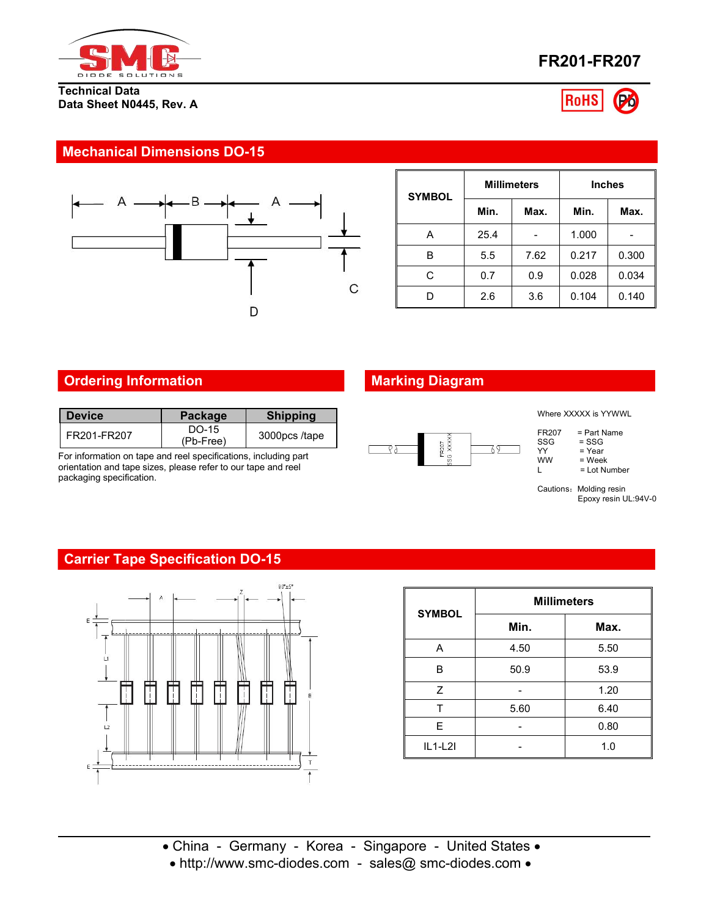

#### **Technical Data Data Sheet N0445, Rev. A**





# **Mechanical Dimensions DO-15**



| <b>SYMBOL</b> |      | <b>Millimeters</b> | <b>Inches</b> |       |  |
|---------------|------|--------------------|---------------|-------|--|
|               | Min. | Max.               | Min.          | Max.  |  |
| Α             | 25.4 |                    | 1.000         |       |  |
| в             | 5.5  | 7.62               | 0.217         | 0.300 |  |
| С             | 0.7  | 0.9                | 0.028         | 0.034 |  |
| D             | 2.6  | 3.6                | 0.104         | 0.140 |  |

# **Ordering Information Marking Diagram**

| l Device      | <b>Package</b>     | <b>Shipping</b> |
|---------------|--------------------|-----------------|
| l FR201-FR207 | DO-15<br>(Pb-Free) | 3000pcs/tape    |

For information on tape and reel specifications, including part orientation and tape sizes, please refer to our tape and reel packaging specification.



Where XXXXX is YYWWL

| FR207 | = Part Name |  |
|-------|-------------|--|
| SSG   | = SSG       |  |

| ×      |
|--------|
| а<br>L |

| YY | = Year |  |
|----|--------|--|
| .  |        |  |

 $\begin{array}{lll}\n\text{WW} & = \text{Week} \\
\text{L} & = \text{Lot Nu}\n\end{array}$ = Lot Number

Cautions: Molding resin Epoxy resin UL:94V-0

# **Carrier Tape Specification DO-15**



| <b>SYMBOL</b> | <b>Millimeters</b> |      |  |  |  |
|---------------|--------------------|------|--|--|--|
|               | Min.               | Max. |  |  |  |
| Α             | 4.50               | 5.50 |  |  |  |
| B             | 50.9               | 53.9 |  |  |  |
| Z             |                    | 1.20 |  |  |  |
| т             | 5.60               | 6.40 |  |  |  |
| E             |                    | 0.80 |  |  |  |
| $IL1-L2I$     |                    | 1.0  |  |  |  |

 China - Germany - Korea - Singapore - United States • http://www.smc-diodes.com - sales@ smc-diodes.com •